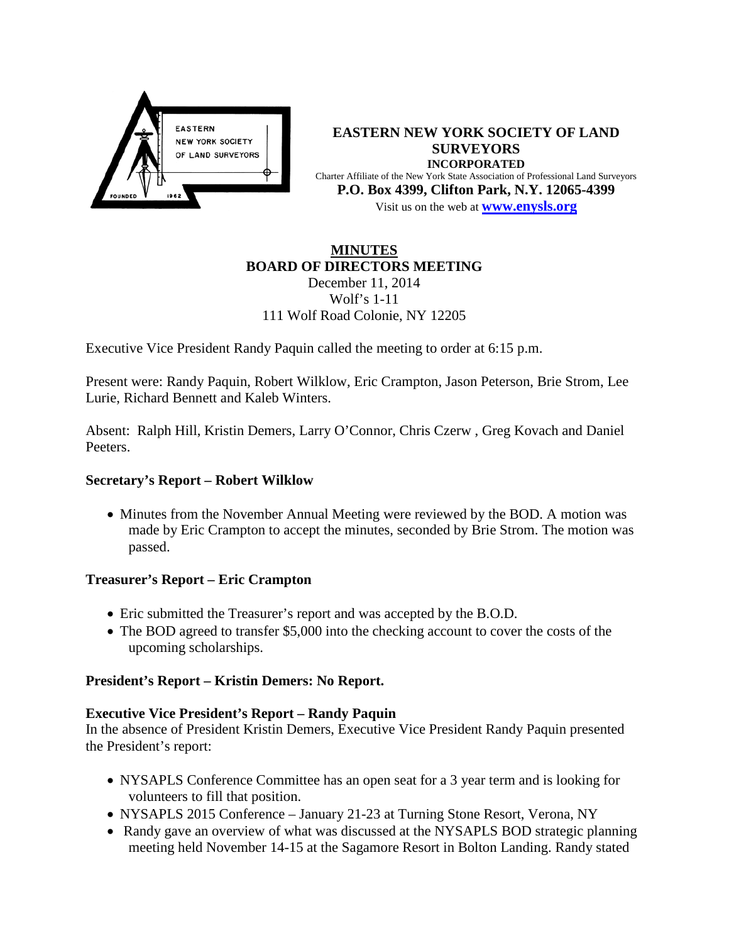

**EASTERN NEW YORK SOCIETY OF LAND SURVEYORS INCORPORATED** Charter Affiliate of the New York State Association of Professional Land Surveyors **P.O. Box 4399, Clifton Park, N.Y. 12065-4399** Visit us on the web at **[www.e](http://www.enysls.org/)nysls.org**

# **MINUTES BOARD OF DIRECTORS MEETING**

December 11, 2014 Wolf's 1-11 111 Wolf Road Colonie, NY 12205

Executive Vice President Randy Paquin called the meeting to order at 6:15 p.m.

Present were: Randy Paquin, Robert Wilklow, Eric Crampton, Jason Peterson, Brie Strom, Lee Lurie, Richard Bennett and Kaleb Winters.

Absent: Ralph Hill, Kristin Demers, Larry O'Connor, Chris Czerw , Greg Kovach and Daniel Peeters.

## **Secretary's Report – Robert Wilklow**

• Minutes from the November Annual Meeting were reviewed by the BOD. A motion was made by Eric Crampton to accept the minutes, seconded by Brie Strom. The motion was passed.

## **Treasurer's Report – Eric Crampton**

- Eric submitted the Treasurer's report and was accepted by the B.O.D.
- The BOD agreed to transfer \$5,000 into the checking account to cover the costs of the upcoming scholarships.

## **President's Report – Kristin Demers: No Report.**

#### **Executive Vice President's Report – Randy Paquin**

In the absence of President Kristin Demers, Executive Vice President Randy Paquin presented the President's report:

- NYSAPLS Conference Committee has an open seat for a 3 year term and is looking for volunteers to fill that position.
- NYSAPLS 2015 Conference January 21-23 at Turning Stone Resort, Verona, NY
- Randy gave an overview of what was discussed at the NYSAPLS BOD strategic planning meeting held November 14-15 at the Sagamore Resort in Bolton Landing. Randy stated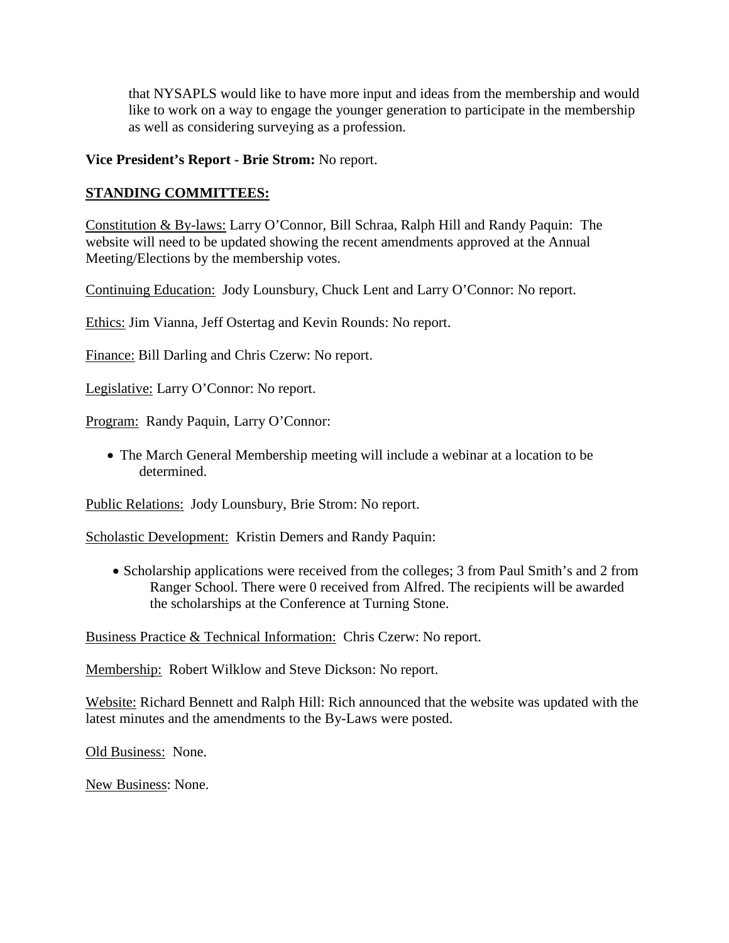that NYSAPLS would like to have more input and ideas from the membership and would like to work on a way to engage the younger generation to participate in the membership as well as considering surveying as a profession.

#### **Vice President's Report - Brie Strom:** No report.

### **STANDING COMMITTEES:**

Constitution & By-laws: Larry O'Connor, Bill Schraa, Ralph Hill and Randy Paquin: The website will need to be updated showing the recent amendments approved at the Annual Meeting/Elections by the membership votes.

Continuing Education: Jody Lounsbury, Chuck Lent and Larry O'Connor: No report.

Ethics: Jim Vianna, Jeff Ostertag and Kevin Rounds: No report.

Finance: Bill Darling and Chris Czerw: No report.

Legislative: Larry O'Connor: No report.

Program: Randy Paquin, Larry O'Connor:

• The March General Membership meeting will include a webinar at a location to be determined.

Public Relations: Jody Lounsbury, Brie Strom: No report.

Scholastic Development: Kristin Demers and Randy Paquin:

• Scholarship applications were received from the colleges; 3 from Paul Smith's and 2 from Ranger School. There were 0 received from Alfred. The recipients will be awarded the scholarships at the Conference at Turning Stone.

Business Practice & Technical Information: Chris Czerw: No report.

Membership: Robert Wilklow and Steve Dickson: No report.

Website: Richard Bennett and Ralph Hill: Rich announced that the website was updated with the latest minutes and the amendments to the By-Laws were posted.

Old Business: None.

New Business: None.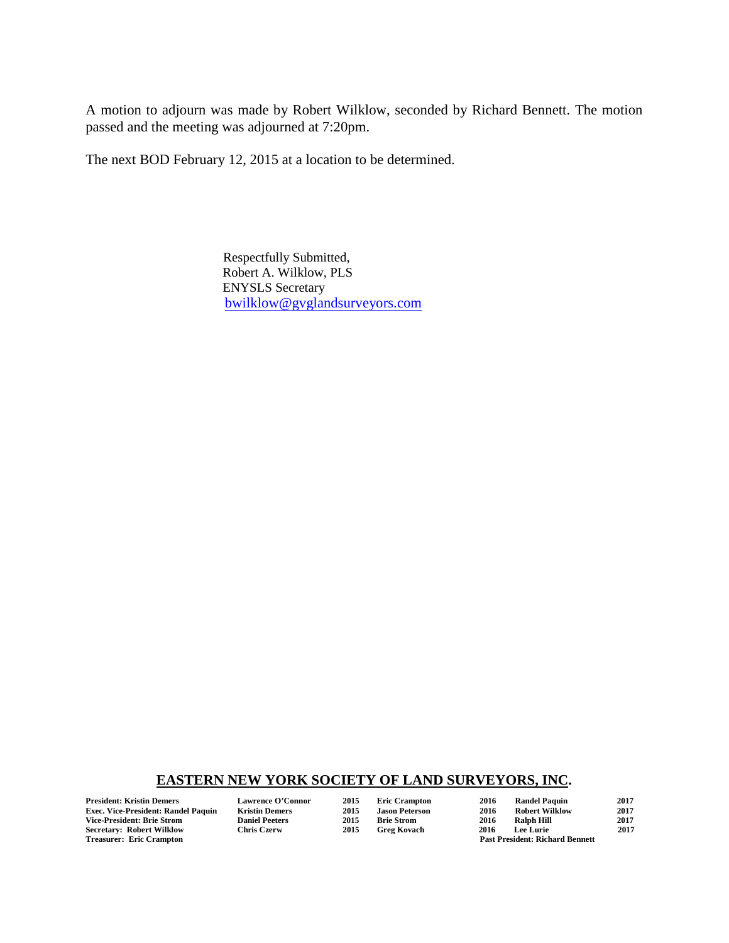A motion to adjourn was made by Robert Wilklow, seconded by Richard Bennett. The motion passed and the meeting was adjourned at 7:20pm.

The next BOD February 12, 2015 at a location to be determined.

 Respectfully Submitted, Robert A. Wilklow, PLS ENYSLS Secretary [bwilklow@gvglandsurveyors.com](mailto:bwilklow@gvglandsurveyors.com)

#### **EASTERN NEW YORK SOCIETY OF LAND SURVEYORS, INC.**

**Exec. Vice-President: Randel Paquin Kristin Demers 2015 Jason Peterson 2016 Robert Wilklow 2017** Vice-President: Brie Strom Daniel Peeters 2015 Brie Strom 2016 Ralph Hill 2017<br>
2017 Secretary: Robert Wilklow Chris Czerw 2015 Greg Kovach 2016 Lee Lurie 2017 **Secretary: Robert Wilklow<br>Treasurer: Eric Crampton** 

**President: Kristin Demers Lawrence O'Connor 2015 Eric Crampton 2016 Randel Paquin 2017** Past President: Richard Bennett